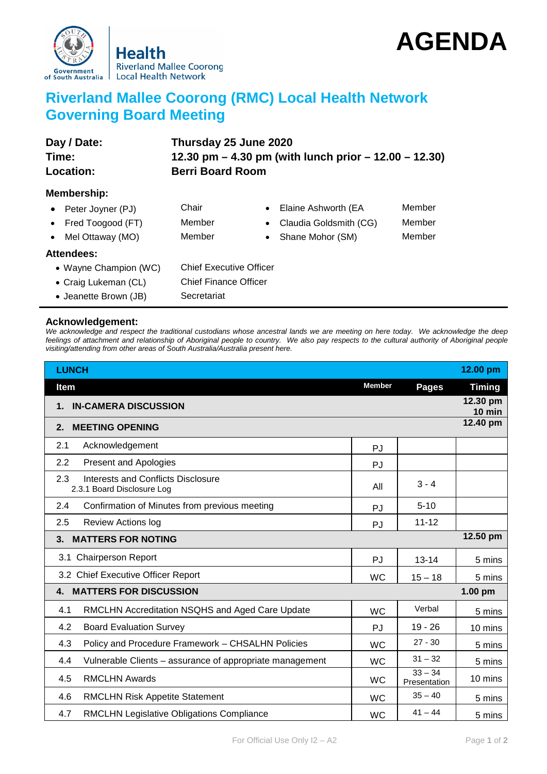

## **AGENDA**

## **Riverland Mallee Coorong (RMC) Local Health Network Governing Board Meeting**

| Day / Date:<br>Time:<br><b>Location:</b> | Thursday 25 June 2020<br>12.30 pm $-$ 4.30 pm (with lunch prior $-$ 12.00 $-$ 12.30)<br><b>Berri Board Room</b> |                                     |        |  |  |
|------------------------------------------|-----------------------------------------------------------------------------------------------------------------|-------------------------------------|--------|--|--|
| Membership:                              |                                                                                                                 |                                     |        |  |  |
| • Peter Joyner (PJ)                      | Chair                                                                                                           | Elaine Ashworth (EA<br>$\bullet$    | Member |  |  |
| • Fred Toogood $(FT)$                    | Member                                                                                                          | Claudia Goldsmith (CG)<br>$\bullet$ | Member |  |  |
| Mel Ottaway (MO)                         | Member                                                                                                          | Shane Mohor (SM)<br>$\bullet$       | Member |  |  |
| <b>Attendees:</b>                        |                                                                                                                 |                                     |        |  |  |
| • Wayne Champion (WC)                    | <b>Chief Executive Officer</b>                                                                                  |                                     |        |  |  |
| • Craig Lukeman (CL)                     | <b>Chief Finance Officer</b>                                                                                    |                                     |        |  |  |
|                                          |                                                                                                                 |                                     |        |  |  |

• Jeanette Brown (JB) Secretariat

## **Acknowledgement:**

*We acknowledge and respect the traditional custodians whose ancestral lands we are meeting on here today. We acknowledge the deep feelings of attachment and relationship of Aboriginal people to country. We also pay respects to the cultural authority of Aboriginal people visiting/attending from other areas of South Australia/Australia present here.*

| <b>LUNCH</b>                                                                   |               |                           | 12.00 pm             |
|--------------------------------------------------------------------------------|---------------|---------------------------|----------------------|
| <b>Item</b>                                                                    | <b>Member</b> | Pages                     | <b>Timing</b>        |
| <b>IN-CAMERA DISCUSSION</b><br>1.                                              |               |                           | 12.30 pm<br>$10$ min |
| <b>MEETING OPENING</b><br>2.                                                   |               |                           | 12.40 pm             |
| 2.1<br>Acknowledgement                                                         | PJ            |                           |                      |
| 2.2<br><b>Present and Apologies</b>                                            | PJ            |                           |                      |
| 2.3<br><b>Interests and Conflicts Disclosure</b><br>2.3.1 Board Disclosure Log | All           | $3 - 4$                   |                      |
| 2.4<br>Confirmation of Minutes from previous meeting                           | PJ            | $5 - 10$                  |                      |
| 2.5<br><b>Review Actions log</b>                                               | PJ            | $11 - 12$                 |                      |
| <b>MATTERS FOR NOTING</b><br>3.                                                |               |                           | 12.50 pm             |
| 3.1 Chairperson Report                                                         | PJ            | $13 - 14$                 | 5 mins               |
| 3.2 Chief Executive Officer Report                                             | <b>WC</b>     | $15 - 18$                 | 5 mins               |
| <b>MATTERS FOR DISCUSSION</b><br>4.                                            |               |                           | $1.00$ pm            |
| 4.1<br>RMCLHN Accreditation NSQHS and Aged Care Update                         | <b>WC</b>     | Verbal                    | 5 mins               |
| <b>Board Evaluation Survey</b><br>4.2                                          | PJ            | $19 - 26$                 | 10 mins              |
| 4.3<br>Policy and Procedure Framework - CHSALHN Policies                       | <b>WC</b>     | $27 - 30$                 | 5 mins               |
| 4.4<br>Vulnerable Clients – assurance of appropriate management                | <b>WC</b>     | $31 - 32$                 | 5 mins               |
| <b>RMCLHN Awards</b><br>4.5                                                    | <b>WC</b>     | $33 - 34$<br>Presentation | 10 mins              |
| 4.6<br><b>RMCLHN Risk Appetite Statement</b>                                   | <b>WC</b>     | $35 - 40$                 | 5 mins               |
| 4.7<br><b>RMCLHN Legislative Obligations Compliance</b>                        | <b>WC</b>     | $41 - 44$                 | 5 mins               |